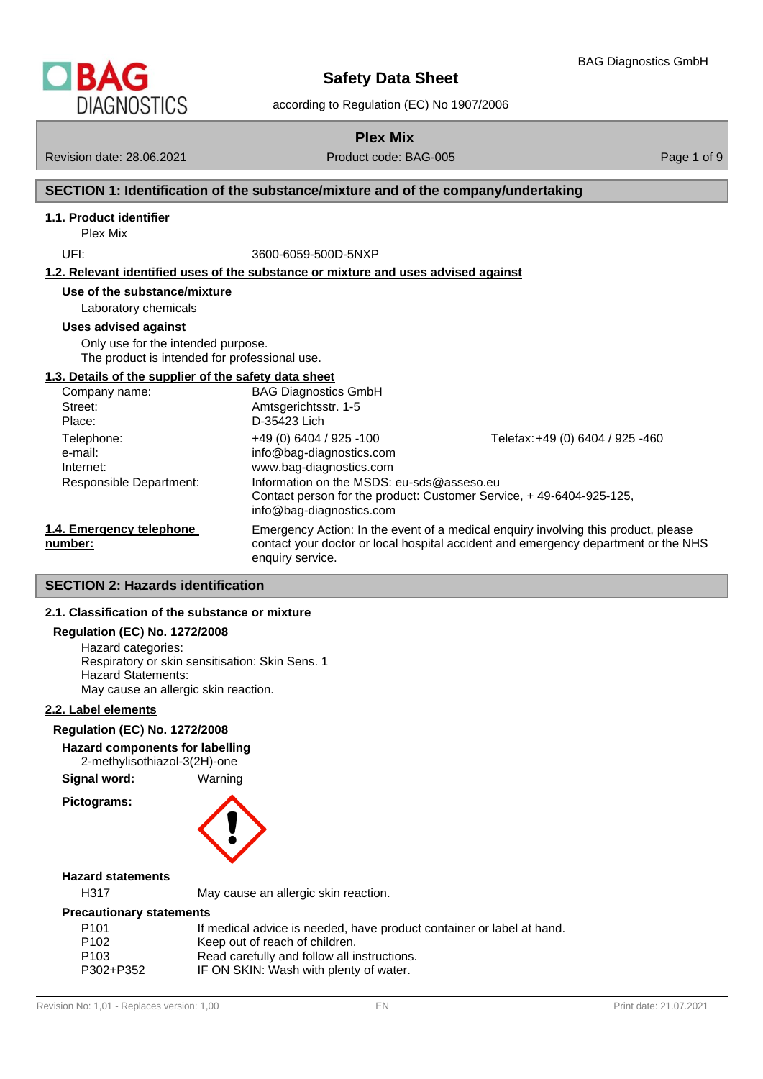

according to Regulation (EC) No 1907/2006

# **Plex Mix**

Revision date: 28.06.2021 **Product code: BAG-005** Page 1 of 9

# **SECTION 1: Identification of the substance/mixture and of the company/undertaking**

# **1.1. Product identifier**

Plex Mix

UFI: 3600-6059-500D-5NXP

#### **1.2. Relevant identified uses of the substance or mixture and uses advised against**

# **Use of the substance/mixture**

Laboratory chemicals

#### **Uses advised against**

Only use for the intended purpose. The product is intended for professional use.

#### **1.3. Details of the supplier of the safety data sheet**

| Company name:                                                 | <b>BAG Diagnostics GmbH</b>                                                                                                                                                                  |                                                                                                         |
|---------------------------------------------------------------|----------------------------------------------------------------------------------------------------------------------------------------------------------------------------------------------|---------------------------------------------------------------------------------------------------------|
| Street:                                                       | Amtsgerichtsstr. 1-5                                                                                                                                                                         |                                                                                                         |
| Place:                                                        | D-35423 Lich                                                                                                                                                                                 |                                                                                                         |
| Telephone:<br>e-mail:<br>Internet:<br>Responsible Department: | +49 (0) 6404 / 925 -100<br>info@bag-diagnostics.com<br>www.bag-diagnostics.com<br>Information on the MSDS: eu-sds@asseso.eu<br>info@bag-diagnostics.com                                      | Telefax: +49 (0) 6404 / 925 -460<br>Contact person for the product: Customer Service, +49-6404-925-125, |
| 1.4. Emergency telephone<br>number:                           | Emergency Action: In the event of a medical enquiry involving this product, please<br>contact your doctor or local hospital accident and emergency department or the NHS<br>enquiry service. |                                                                                                         |

# **SECTION 2: Hazards identification**

# **2.1. Classification of the substance or mixture**

# **Regulation (EC) No. 1272/2008**

Hazard categories: Respiratory or skin sensitisation: Skin Sens. 1 Hazard Statements: May cause an allergic skin reaction.

#### **2.2. Label elements**

#### **Regulation (EC) No. 1272/2008**

#### **Hazard components for labelling**

2-methylisothiazol-3(2H)-one

**Signal word:** Warning

**Pictograms:**



# **Hazard statements**

H317 May cause an allergic skin reaction.

#### **Precautionary statements**

| P <sub>101</sub> | If medical advice is needed, have product container or label at hand. |
|------------------|-----------------------------------------------------------------------|
| P <sub>102</sub> | Keep out of reach of children.                                        |
| P <sub>103</sub> | Read carefully and follow all instructions.                           |
| P302+P352        | IF ON SKIN: Wash with plenty of water.                                |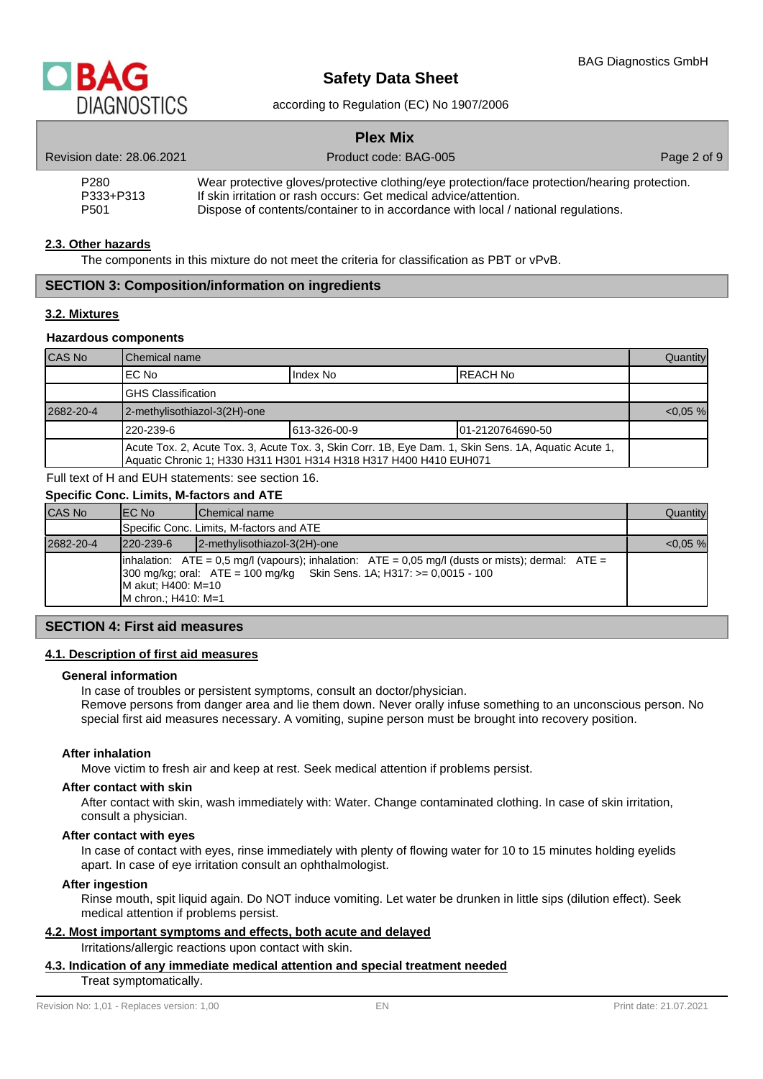

#### according to Regulation (EC) No 1907/2006

|                               | <b>Plex Mix</b>                                                                                                                                                   |             |
|-------------------------------|-------------------------------------------------------------------------------------------------------------------------------------------------------------------|-------------|
| Revision date: 28.06.2021     | Product code: BAG-005                                                                                                                                             | Page 2 of 9 |
| P <sub>280</sub><br>P333+P313 | Wear protective gloves/protective clothing/eye protection/face protection/hearing protection.<br>If skin irritation or rash occurs: Get medical advice/attention. |             |
| P <sub>501</sub>              | Dispose of contents/container to in accordance with local / national regulations.                                                                                 |             |

#### **2.3. Other hazards**

The components in this mixture do not meet the criteria for classification as PBT or vPvB.

# **SECTION 3: Composition/information on ingredients**

#### **3.2. Mixtures**

#### **Hazardous components**

| <b>CAS No</b> | l Chemical name                                                                                                                                                           |              |                   | Quantity    |
|---------------|---------------------------------------------------------------------------------------------------------------------------------------------------------------------------|--------------|-------------------|-------------|
|               | IEC No                                                                                                                                                                    | Index No     | IREACH No         |             |
|               | IGHS Classification                                                                                                                                                       |              |                   |             |
| 2682-20-4     | 2-methylisothiazol-3(2H)-one                                                                                                                                              |              |                   | $< 0.05 \%$ |
|               | 1220-239-6                                                                                                                                                                | 613-326-00-9 | 101-2120764690-50 |             |
|               | Acute Tox. 2, Acute Tox. 3, Acute Tox. 3, Skin Corr. 1B, Eye Dam. 1, Skin Sens. 1A, Aquatic Acute 1,<br>Aquatic Chronic 1: H330 H311 H301 H314 H318 H317 H400 H410 EUH071 |              |                   |             |

Full text of H and EUH statements: see section 16.

#### **Specific Conc. Limits, M-factors and ATE**

| CAS No    | IEC No                                    | <b>IChemical name</b>                                                                                                                                                                                       | Quantity    |
|-----------|-------------------------------------------|-------------------------------------------------------------------------------------------------------------------------------------------------------------------------------------------------------------|-------------|
|           |                                           | Specific Conc. Limits, M-factors and ATE                                                                                                                                                                    |             |
| 2682-20-4 | $1220 - 239 - 6$                          | 2-methylisothiazol-3(2H)-one                                                                                                                                                                                | $< 0.05 \%$ |
|           | M akut; H400: M=10<br>M chron.; H410: M=1 | $\lambda$ inhalation: ATE = 0,5 mg/l (vapours); inhalation: ATE = 0,05 mg/l (dusts or mists); dermal: ATE =<br>$300 \text{ mg/kg}$ ; oral: $ATE = 100 \text{ mg/kg}$ Skin Sens. 1A; H317: $>= 0.0015 - 100$ |             |

# **SECTION 4: First aid measures**

#### **4.1. Description of first aid measures**

#### **General information**

In case of troubles or persistent symptoms, consult an doctor/physician.

Remove persons from danger area and lie them down. Never orally infuse something to an unconscious person. No special first aid measures necessary. A vomiting, supine person must be brought into recovery position.

#### **After inhalation**

Move victim to fresh air and keep at rest. Seek medical attention if problems persist.

#### **After contact with skin**

After contact with skin, wash immediately with: Water. Change contaminated clothing. In case of skin irritation, consult a physician.

#### **After contact with eyes**

In case of contact with eyes, rinse immediately with plenty of flowing water for 10 to 15 minutes holding eyelids apart. In case of eye irritation consult an ophthalmologist.

#### **After ingestion**

Rinse mouth, spit liquid again. Do NOT induce vomiting. Let water be drunken in little sips (dilution effect). Seek medical attention if problems persist.

# **4.2. Most important symptoms and effects, both acute and delayed**

Irritations/allergic reactions upon contact with skin.

# **4.3. Indication of any immediate medical attention and special treatment needed**

Treat symptomatically.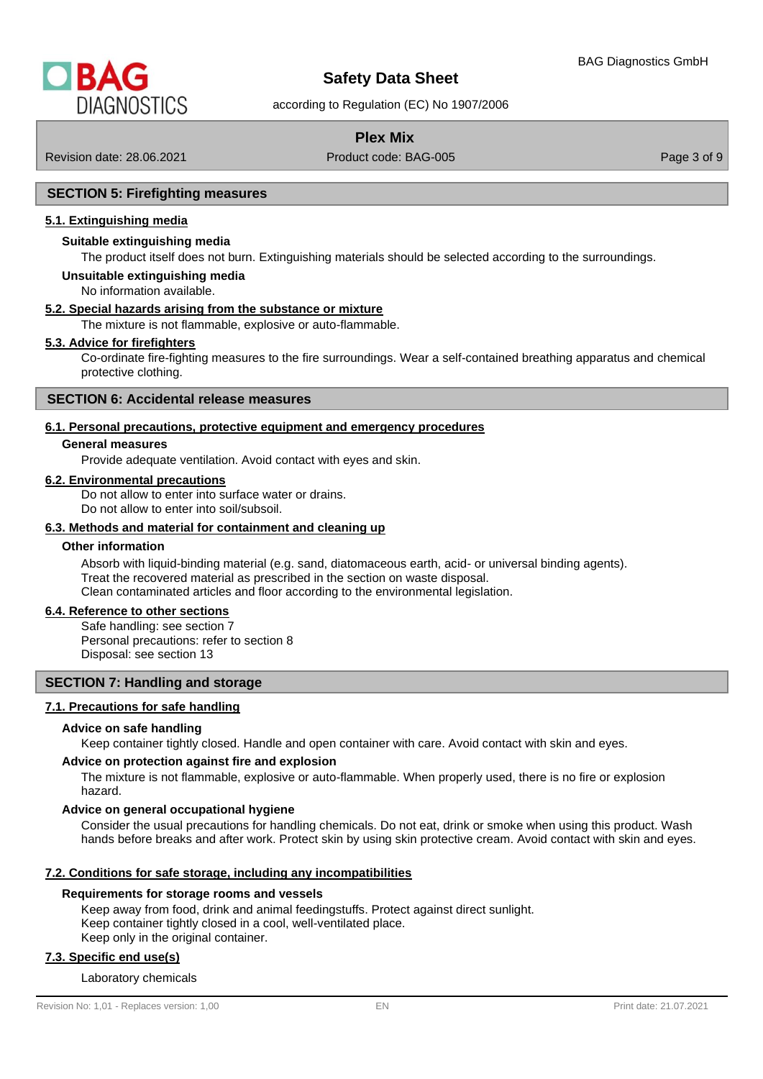

according to Regulation (EC) No 1907/2006

# **Plex Mix**

Revision date: 28.06.2021 Product code: BAG-005 Page 3 of 9

# **SECTION 5: Firefighting measures**

## **5.1. Extinguishing media**

#### **Suitable extinguishing media**

The product itself does not burn. Extinguishing materials should be selected according to the surroundings.

# **Unsuitable extinguishing media**

No information available.

#### **5.2. Special hazards arising from the substance or mixture**

The mixture is not flammable, explosive or auto-flammable.

# **5.3. Advice for firefighters**

Co-ordinate fire-fighting measures to the fire surroundings. Wear a self-contained breathing apparatus and chemical protective clothing.

#### **SECTION 6: Accidental release measures**

#### **6.1. Personal precautions, protective equipment and emergency procedures**

#### **General measures**

Provide adequate ventilation. Avoid contact with eyes and skin.

#### **6.2. Environmental precautions**

Do not allow to enter into surface water or drains.

Do not allow to enter into soil/subsoil.

# **6.3. Methods and material for containment and cleaning up**

#### **Other information**

Absorb with liquid-binding material (e.g. sand, diatomaceous earth, acid- or universal binding agents). Treat the recovered material as prescribed in the section on waste disposal. Clean contaminated articles and floor according to the environmental legislation.

#### **6.4. Reference to other sections**

Safe handling: see section 7 Personal precautions: refer to section 8

Disposal: see section 13

#### **SECTION 7: Handling and storage**

#### **7.1. Precautions for safe handling**

#### **Advice on safe handling**

Keep container tightly closed. Handle and open container with care. Avoid contact with skin and eyes.

#### **Advice on protection against fire and explosion**

The mixture is not flammable, explosive or auto-flammable. When properly used, there is no fire or explosion hazard.

#### **Advice on general occupational hygiene**

Consider the usual precautions for handling chemicals. Do not eat, drink or smoke when using this product. Wash hands before breaks and after work. Protect skin by using skin protective cream. Avoid contact with skin and eyes.

#### **7.2. Conditions for safe storage, including any incompatibilities**

#### **Requirements for storage rooms and vessels**

Keep away from food, drink and animal feedingstuffs. Protect against direct sunlight. Keep container tightly closed in a cool, well-ventilated place. Keep only in the original container.

#### **7.3. Specific end use(s)**

#### Laboratory chemicals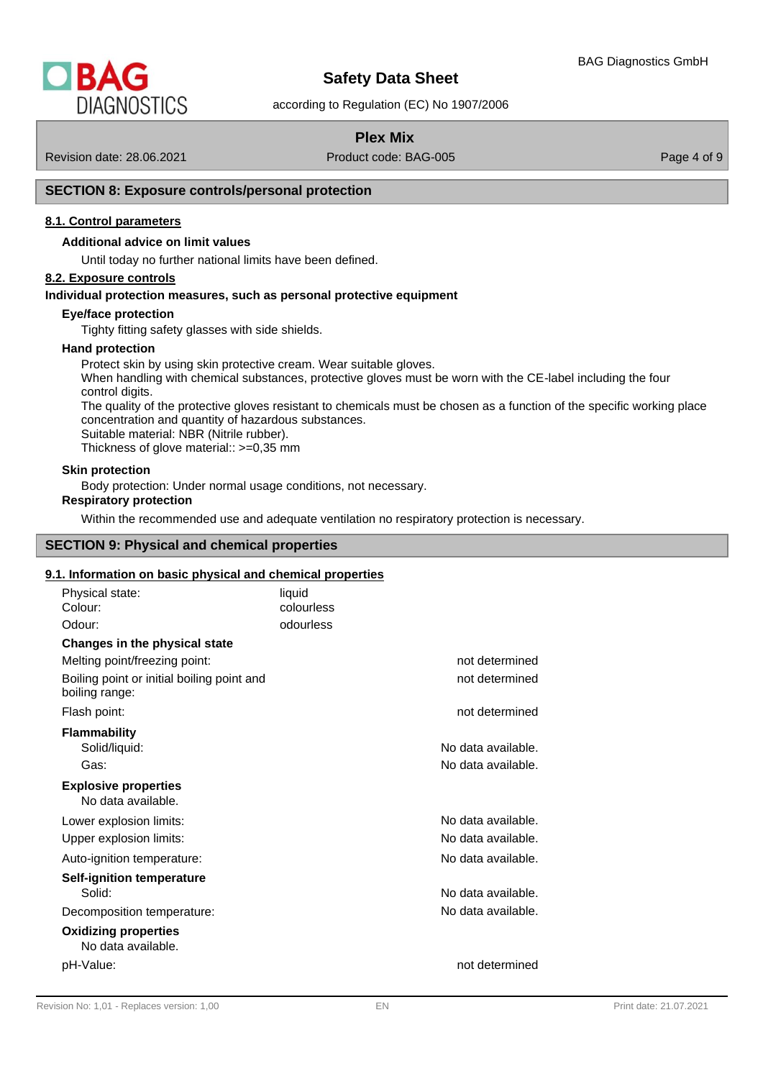

according to Regulation (EC) No 1907/2006

# **Plex Mix**

Revision date: 28.06.2021 **Product code: BAG-005** Page 4 of 9

# **SECTION 8: Exposure controls/personal protection**

# **8.1. Control parameters**

#### **Additional advice on limit values**

Until today no further national limits have been defined.

# **8.2. Exposure controls**

#### **Individual protection measures, such as personal protective equipment**

#### **Eye/face protection**

Tighty fitting safety glasses with side shields.

#### **Hand protection**

Protect skin by using skin protective cream. Wear suitable gloves. When handling with chemical substances, protective gloves must be worn with the CE-label including the four control digits. The quality of the protective gloves resistant to chemicals must be chosen as a function of the specific working place concentration and quantity of hazardous substances. Suitable material: NBR (Nitrile rubber). Thickness of glove material:: >=0,35 mm

#### **Skin protection**

Body protection: Under normal usage conditions, not necessary.

# **Respiratory protection**

Within the recommended use and adequate ventilation no respiratory protection is necessary.

# **SECTION 9: Physical and chemical properties**

#### **9.1. Information on basic physical and chemical properties**

| Physical state:<br>Colour:                                   | liquid<br>colourless |                                          |
|--------------------------------------------------------------|----------------------|------------------------------------------|
| Odour:                                                       | odourless            |                                          |
| Changes in the physical state                                |                      |                                          |
| Melting point/freezing point:                                |                      | not determined                           |
| Boiling point or initial boiling point and<br>boiling range: |                      | not determined                           |
| Flash point:                                                 |                      | not determined                           |
| <b>Flammability</b><br>Solid/liquid:<br>Gas:                 |                      | No data available.<br>No data available. |
| <b>Explosive properties</b><br>No data available.            |                      |                                          |
| Lower explosion limits:                                      |                      | No data available.                       |
| Upper explosion limits:                                      |                      | No data available.                       |
| Auto-ignition temperature:                                   |                      | No data available.                       |
| <b>Self-ignition temperature</b><br>Solid:                   |                      | No data available.                       |
| Decomposition temperature:                                   |                      | No data available.                       |
| <b>Oxidizing properties</b><br>No data available.            |                      |                                          |
| pH-Value:                                                    |                      | not determined                           |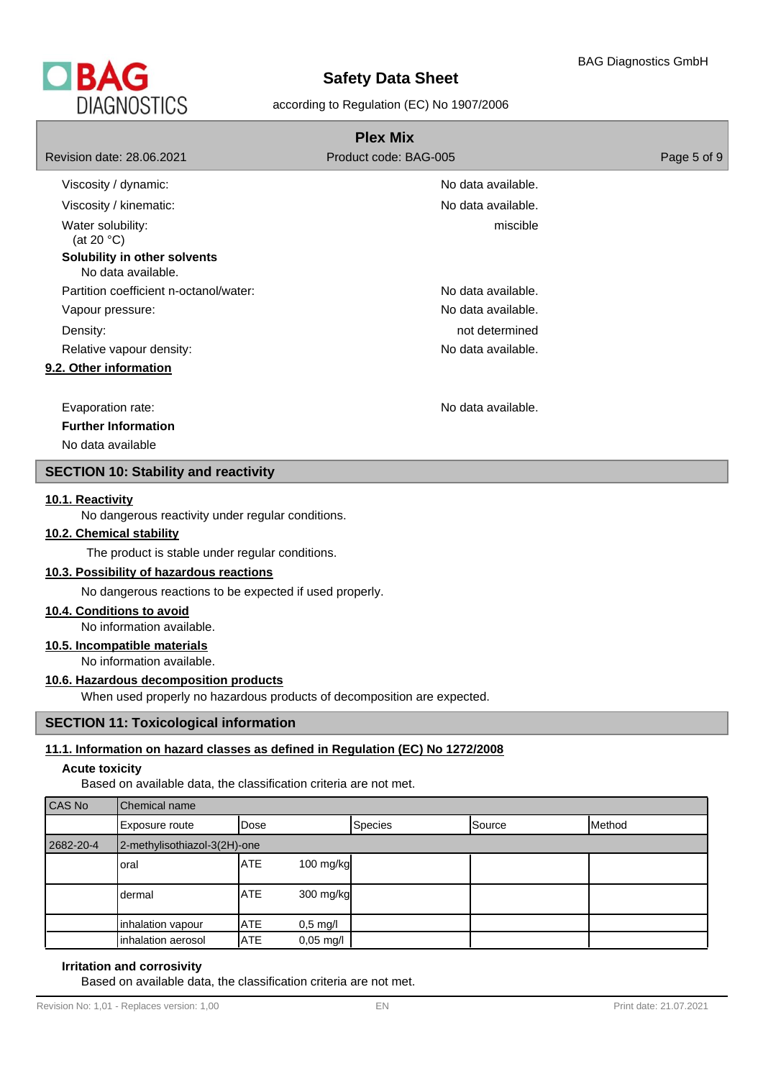

# according to Regulation (EC) No 1907/2006

|                                                    | <b>Plex Mix</b>       |             |
|----------------------------------------------------|-----------------------|-------------|
| Revision date: 28.06.2021                          | Product code: BAG-005 | Page 5 of 9 |
| Viscosity / dynamic:                               | No data available.    |             |
| Viscosity / kinematic:                             | No data available.    |             |
| Water solubility:<br>(at 20 $°C$ )                 | miscible              |             |
| Solubility in other solvents<br>No data available. |                       |             |
| Partition coefficient n-octanol/water:             | No data available.    |             |
| Vapour pressure:                                   | No data available.    |             |
| Density:                                           | not determined        |             |
| Relative vapour density:                           | No data available.    |             |
| 9.2. Other information                             |                       |             |
| Evaporation rate:                                  | No data available.    |             |
| <b>Further Information</b>                         |                       |             |
| No data available                                  |                       |             |

#### **SECTION 10: Stability and reactivity**

# **10.1. Reactivity**

No dangerous reactivity under regular conditions.

# **10.2. Chemical stability**

The product is stable under regular conditions.

#### **10.3. Possibility of hazardous reactions**

No dangerous reactions to be expected if used properly.

# **10.4. Conditions to avoid**

No information available.

# **10.5. Incompatible materials**

No information available.

# **10.6. Hazardous decomposition products**

When used properly no hazardous products of decomposition are expected.

# **SECTION 11: Toxicological information**

# **11.1. Information on hazard classes as defined in Regulation (EC) No 1272/2008**

# **Acute toxicity**

Based on available data, the classification criteria are not met.

| CAS No    | Chemical name                |            |                     |         |        |        |
|-----------|------------------------------|------------|---------------------|---------|--------|--------|
|           | <b>Exposure route</b>        | lDose      |                     | Species | Source | Method |
| 2682-20-4 | 2-methylisothiazol-3(2H)-one |            |                     |         |        |        |
|           | Ioral                        | <b>ATE</b> | 100 $mg/kg$         |         |        |        |
|           | dermal                       | <b>ATE</b> | 300 mg/kg           |         |        |        |
|           | inhalation vapour            | <b>ATE</b> | $0,5$ mg/l          |         |        |        |
|           | inhalation aerosol           | <b>ATE</b> | $0,05 \text{ mg/l}$ |         |        |        |

# **Irritation and corrosivity**

Based on available data, the classification criteria are not met.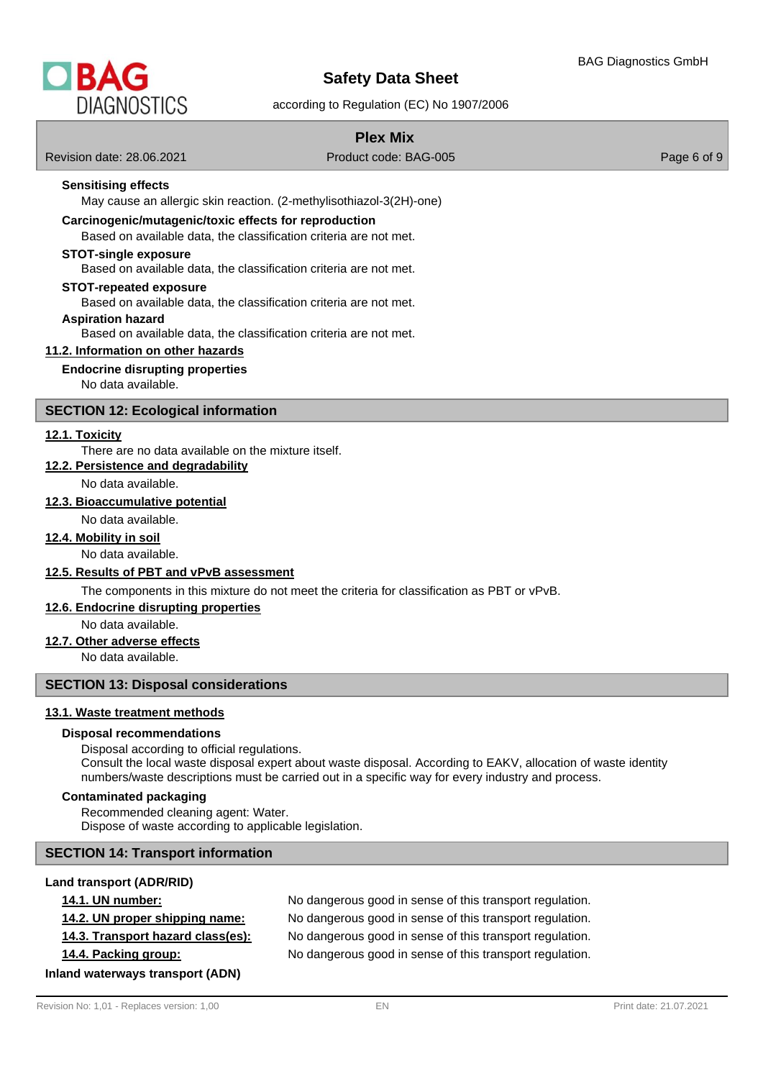

according to Regulation (EC) No 1907/2006

Revision date: 28.06.2021 Product code: BAG-005 Page 6 of 9

# **Sensitising effects**

May cause an allergic skin reaction. (2-methylisothiazol-3(2H)-one)

#### **Carcinogenic/mutagenic/toxic effects for reproduction**

Based on available data, the classification criteria are not met.

#### **STOT-single exposure**

Based on available data, the classification criteria are not met.

#### **STOT-repeated exposure**

Based on available data, the classification criteria are not met.

#### **Aspiration hazard**

Based on available data, the classification criteria are not met.

#### **11.2. Information on other hazards**

#### **Endocrine disrupting properties**

No data available.

#### **SECTION 12: Ecological information**

#### **12.1. Toxicity**

#### There are no data available on the mixture itself.

**12.2. Persistence and degradability**

No data available.

#### **12.3. Bioaccumulative potential**

No data available.

# **12.4. Mobility in soil**

No data available.

#### **12.5. Results of PBT and vPvB assessment**

The components in this mixture do not meet the criteria for classification as PBT or vPvB.

#### **12.6. Endocrine disrupting properties**

No data available.

# **12.7. Other adverse effects**

No data available.

# **SECTION 13: Disposal considerations**

# **13.1. Waste treatment methods**

#### **Disposal recommendations**

Disposal according to official regulations. Consult the local waste disposal expert about waste disposal. According to EAKV, allocation of waste identity numbers/waste descriptions must be carried out in a specific way for every industry and process.

#### **Contaminated packaging**

Recommended cleaning agent: Water. Dispose of waste according to applicable legislation.

#### **SECTION 14: Transport information**

# **Land transport (ADR/RID)**

**14.1. UN number:** No dangerous good in sense of this transport regulation. **14.2. UN proper shipping name:** No dangerous good in sense of this transport regulation. **14.3. Transport hazard class(es):** No dangerous good in sense of this transport regulation. **14.4. Packing group:** No dangerous good in sense of this transport regulation.

**Inland waterways transport (ADN)**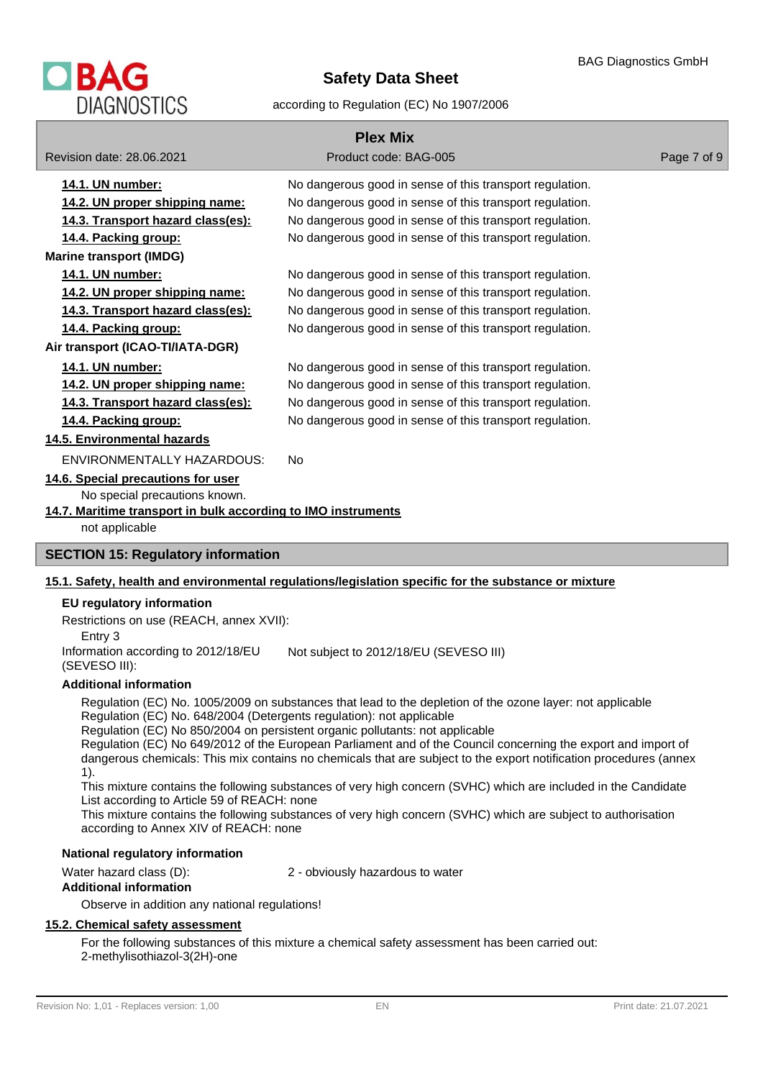

#### according to Regulation (EC) No 1907/2006

|                                                                                                                                                        | <b>Plex Mix</b>                                                                                      |             |
|--------------------------------------------------------------------------------------------------------------------------------------------------------|------------------------------------------------------------------------------------------------------|-------------|
| Revision date: 28.06.2021                                                                                                                              | Product code: BAG-005                                                                                | Page 7 of 9 |
| 14.1. UN number:                                                                                                                                       | No dangerous good in sense of this transport regulation.                                             |             |
| 14.2. UN proper shipping name:                                                                                                                         | No dangerous good in sense of this transport regulation.                                             |             |
| 14.3. Transport hazard class(es):                                                                                                                      | No dangerous good in sense of this transport regulation.                                             |             |
| 14.4. Packing group:                                                                                                                                   | No dangerous good in sense of this transport regulation.                                             |             |
| <b>Marine transport (IMDG)</b>                                                                                                                         |                                                                                                      |             |
| 14.1. UN number:                                                                                                                                       | No dangerous good in sense of this transport regulation.                                             |             |
| 14.2. UN proper shipping name:                                                                                                                         | No dangerous good in sense of this transport regulation.                                             |             |
| 14.3. Transport hazard class(es):                                                                                                                      | No dangerous good in sense of this transport regulation.                                             |             |
| 14.4. Packing group:                                                                                                                                   | No dangerous good in sense of this transport regulation.                                             |             |
| Air transport (ICAO-TI/IATA-DGR)                                                                                                                       |                                                                                                      |             |
| 14.1. UN number:                                                                                                                                       | No dangerous good in sense of this transport regulation.                                             |             |
| 14.2. UN proper shipping name:                                                                                                                         | No dangerous good in sense of this transport regulation.                                             |             |
| 14.3. Transport hazard class(es):                                                                                                                      | No dangerous good in sense of this transport regulation.                                             |             |
| 14.4. Packing group:                                                                                                                                   | No dangerous good in sense of this transport regulation.                                             |             |
| 14.5. Environmental hazards                                                                                                                            |                                                                                                      |             |
| <b>ENVIRONMENTALLY HAZARDOUS:</b>                                                                                                                      | <b>No</b>                                                                                            |             |
| 14.6. Special precautions for user<br>No special precautions known.<br>14.7. Maritime transport in bulk according to IMO instruments<br>not applicable |                                                                                                      |             |
| <b>SECTION 15: Regulatory information</b>                                                                                                              |                                                                                                      |             |
|                                                                                                                                                        | 15.1. Safety, health and environmental regulations/legislation specific for the substance or mixture |             |
| EU regulatory information                                                                                                                              |                                                                                                      |             |

Restrictions on use (REACH, annex XVII): Entry 3 Information according to 2012/18/EU

Not subject to 2012/18/EU (SEVESO III)

## **Additional information**

(SEVESO III):

Regulation (EC) No. 1005/2009 on substances that lead to the depletion of the ozone layer: not applicable Regulation (EC) No. 648/2004 (Detergents regulation): not applicable

Regulation (EC) No 850/2004 on persistent organic pollutants: not applicable

Regulation (EC) No 649/2012 of the European Parliament and of the Council concerning the export and import of dangerous chemicals: This mix contains no chemicals that are subject to the export notification procedures (annex 1).

This mixture contains the following substances of very high concern (SVHC) which are included in the Candidate List according to Article 59 of REACH: none

This mixture contains the following substances of very high concern (SVHC) which are subject to authorisation according to Annex XIV of REACH: none

# **National regulatory information**

Water hazard class (D): 2 - obviously hazardous to water

#### **Additional information**

Observe in addition any national regulations!

#### **15.2. Chemical safety assessment**

For the following substances of this mixture a chemical safety assessment has been carried out: 2-methylisothiazol-3(2H)-one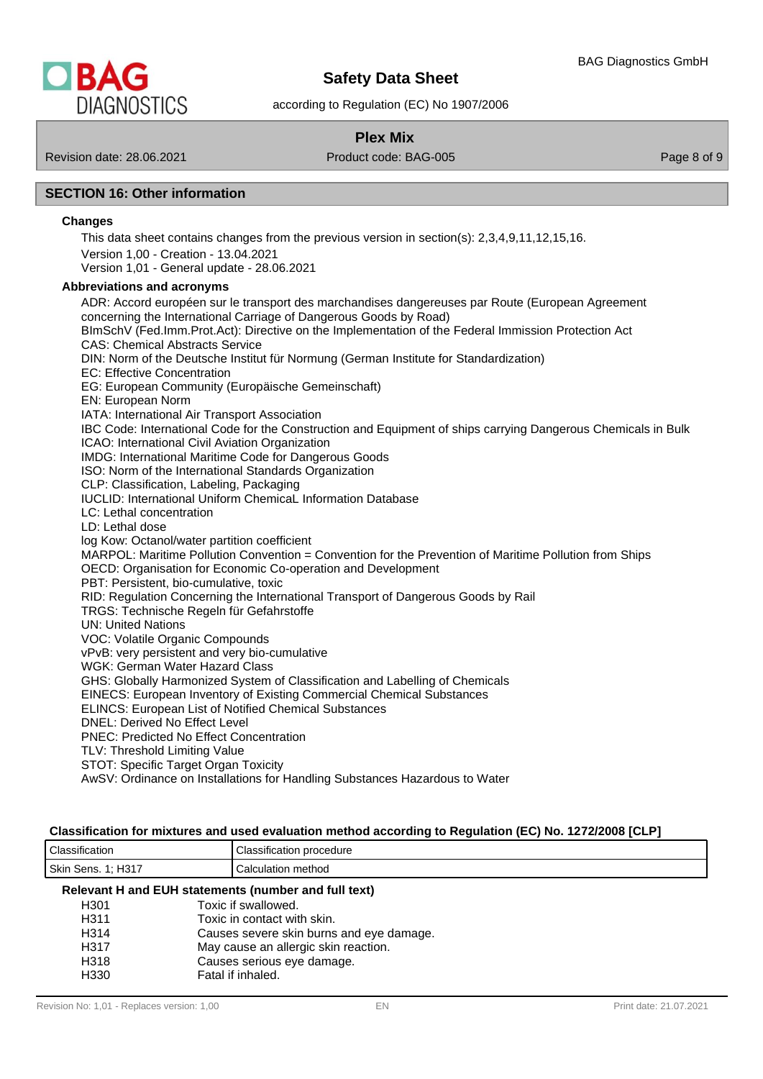

according to Regulation (EC) No 1907/2006

# **Plex Mix**

Revision date: 28.06.2021 Product code: BAG-005 Page 8 of 9

# **SECTION 16: Other information**

#### **Changes**

This data sheet contains changes from the previous version in section(s): 2,3,4,9,11,12,15,16. Version 1,00 - Creation - 13.04.2021 Version 1,01 - General update - 28.06.2021

# **Abbreviations and acronyms**

ADR: Accord européen sur le transport des marchandises dangereuses par Route (European Agreement concerning the International Carriage of Dangerous Goods by Road) BImSchV (Fed.Imm.Prot.Act): Directive on the Implementation of the Federal Immission Protection Act CAS: Chemical Abstracts Service DIN: Norm of the Deutsche Institut für Normung (German Institute for Standardization) EC: Effective Concentration EG: European Community (Europäische Gemeinschaft) EN: European Norm IATA: International Air Transport Association IBC Code: International Code for the Construction and Equipment of ships carrying Dangerous Chemicals in Bulk ICAO: International Civil Aviation Organization IMDG: International Maritime Code for Dangerous Goods ISO: Norm of the International Standards Organization CLP: Classification, Labeling, Packaging IUCLID: International Uniform ChemicaL Information Database LC: Lethal concentration LD: Lethal dose log Kow: Octanol/water partition coefficient MARPOL: Maritime Pollution Convention = Convention for the Prevention of Maritime Pollution from Ships OECD: Organisation for Economic Co-operation and Development PBT: Persistent, bio-cumulative, toxic RID: Regulation Concerning the International Transport of Dangerous Goods by Rail TRGS: Technische Regeln für Gefahrstoffe UN: United Nations VOC: Volatile Organic Compounds vPvB: very persistent and very bio-cumulative WGK: German Water Hazard Class GHS: Globally Harmonized System of Classification and Labelling of Chemicals EINECS: European Inventory of Existing Commercial Chemical Substances ELINCS: European List of Notified Chemical Substances DNEL: Derived No Effect Level PNEC: Predicted No Effect Concentration TLV: Threshold Limiting Value STOT: Specific Target Organ Toxicity AwSV: Ordinance on Installations for Handling Substances Hazardous to Water

#### **Classification for mixtures and used evaluation method according to Regulation (EC) No. 1272/2008 [CLP]**

| $\sim$<br>$\cdots$<br>iassification ت | $\cdot$<br>Classification procedure |
|---------------------------------------|-------------------------------------|
| Skin<br>コウィラ<br>Sens.<br>. ו כר<br>.  | method<br>Calculation               |

#### **Relevant H and EUH statements (number and full text)**

| Toxic if swallowed.                      |
|------------------------------------------|
| Toxic in contact with skin.              |
| Causes severe skin burns and eye damage. |
| May cause an allergic skin reaction.     |
| Causes serious eye damage.               |
| Fatal if inhaled.                        |
|                                          |